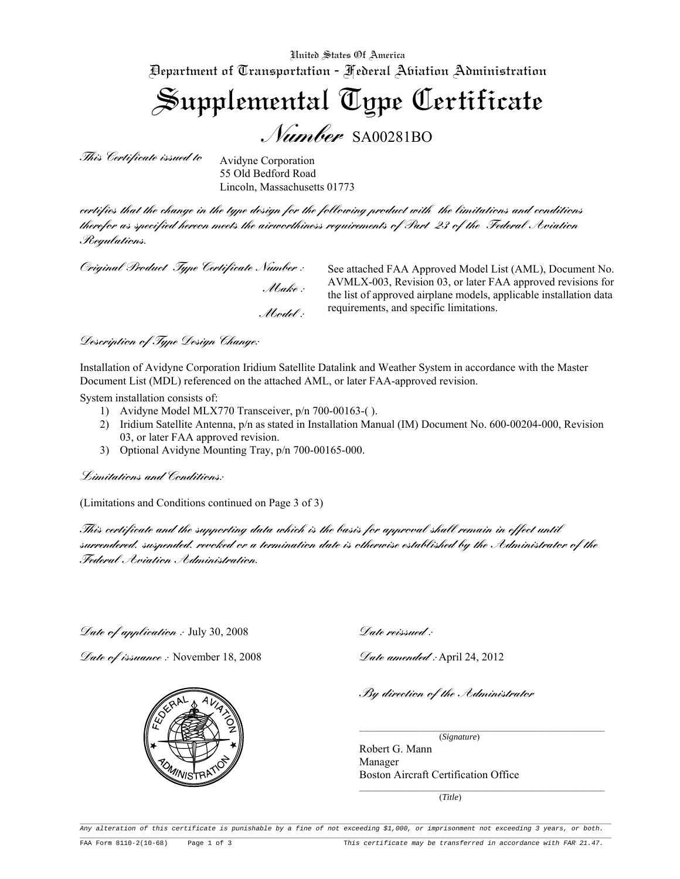United States Of America Department of Transportation - Federal Aviation Administration

Supplemental Type Certificate *Number* SA00281BO

*This Certificate issued to*

Avidyne Corporation 55 Old Bedford Road Lincoln, Massachusetts 01773

*certifies that the change in the type design for the following product with the limitations and conditions therefor as specified hereon meets the airworthiness requirements of Part 23 of the Federal Aviation Regulations.* 

*Original Product Type Certificate Number :*

 *Make : Model :*

See attached FAA Approved Model List (AML), Document No. AVMLX-003, Revision 03, or later FAA approved revisions for the list of approved airplane models, applicable installation data requirements, and specific limitations.

*Description of Type Design Change:*

Installation of Avidyne Corporation Iridium Satellite Datalink and Weather System in accordance with the Master Document List (MDL) referenced on the attached AML, or later FAA-approved revision.

System installation consists of:

- 1) Avidyne Model MLX770 Transceiver, p/n 700-00163-( ).
- 2) Iridium Satellite Antenna, p/n as stated in Installation Manual (IM) Document No. 600-00204-000, Revision 03, or later FAA approved revision.
- 3) Optional Avidyne Mounting Tray, p/n 700-00165-000.

*Limitations and Conditions:*

(Limitations and Conditions continued on Page 3 of 3)

*This certificate and the supporting data which is the basis for approval shall remain in effect until surrendered, suspended, revoked or a termination date is otherwise established by the Administrator of the Federal Aviation Administration.*

*Date of application :* July 30, 2008

*Date of issuance :* November 18, 2008

M<sub>MSTP</sub>



*Date amended :* April 24, 2012

*By direction of the Administrator*

 (*Signature*) Robert G. Mann Manager Boston Aircraft Certification Office

(*Title*)

Any alteration of this certificate is punishable by a fine of not exceeding \$1,000, or imprisonment not exceeding 3 years, or both.  $\overline{\phantom{a}}$ 

 $\mathcal{L}_\mathcal{L} = \{ \mathcal{L}_\mathcal{L} = \{ \mathcal{L}_\mathcal{L} = \{ \mathcal{L}_\mathcal{L} = \{ \mathcal{L}_\mathcal{L} = \{ \mathcal{L}_\mathcal{L} = \{ \mathcal{L}_\mathcal{L} = \{ \mathcal{L}_\mathcal{L} = \{ \mathcal{L}_\mathcal{L} = \{ \mathcal{L}_\mathcal{L} = \{ \mathcal{L}_\mathcal{L} = \{ \mathcal{L}_\mathcal{L} = \{ \mathcal{L}_\mathcal{L} = \{ \mathcal{L}_\mathcal{L} = \{ \mathcal{L}_\mathcal{$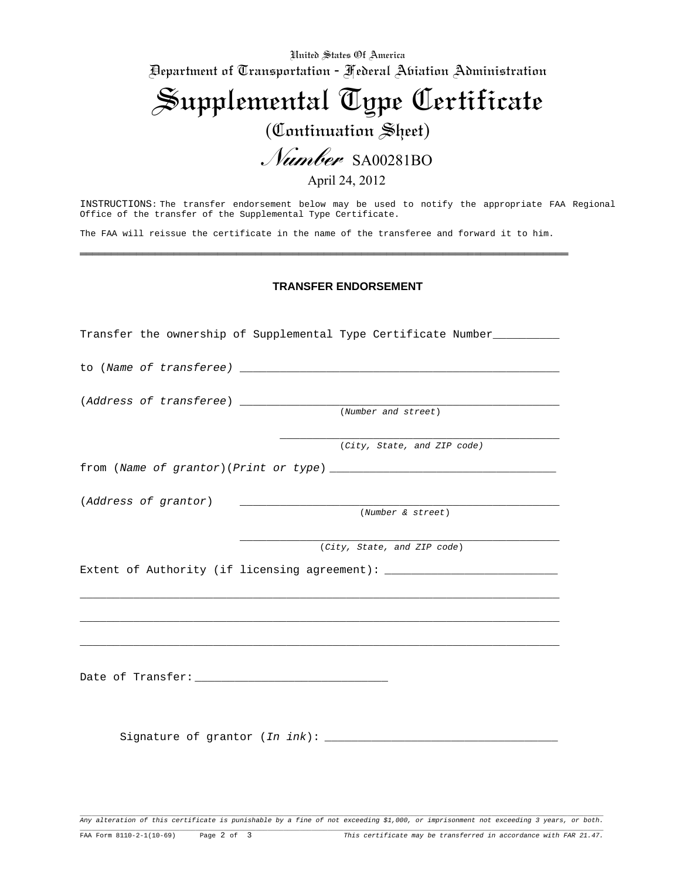United States Of America Department of Transportation - Federal Aviation Administration

Supplemental Type Certificate (Continuation Sheet)

*Number* SA00281BO

April 24, 2012

INSTRUCTIONS: The transfer endorsement below may be used to notify the appropriate FAA Regional Office of the transfer of the Supplemental Type Certificate.

The FAA will reissue the certificate in the name of the transferee and forward it to him.

══════════════════════════════════════════════════════════════════════════════

## **TRANSFER ENDORSEMENT**

| Transfer the ownership of Supplemental Type Certificate Number                                                                               |                             |
|----------------------------------------------------------------------------------------------------------------------------------------------|-----------------------------|
|                                                                                                                                              |                             |
|                                                                                                                                              | (Number and street)         |
|                                                                                                                                              | (City, State, and ZIP code) |
|                                                                                                                                              |                             |
| (Address of grantor)<br><u> Alexandria de la contrada de la contrada de la contrada de la contrada de la contrada de la contrada de la c</u> |                             |
|                                                                                                                                              | (Number & street)           |
|                                                                                                                                              | (City, State, and ZIP code) |
| Extent of Authority (if licensing agreement): __________________________________                                                             |                             |
|                                                                                                                                              |                             |
|                                                                                                                                              |                             |
|                                                                                                                                              |                             |

Any alteration of this certificate is punishable by a fine of not exceeding \$1,000, or imprisonment not exceeding 3 years, or both.